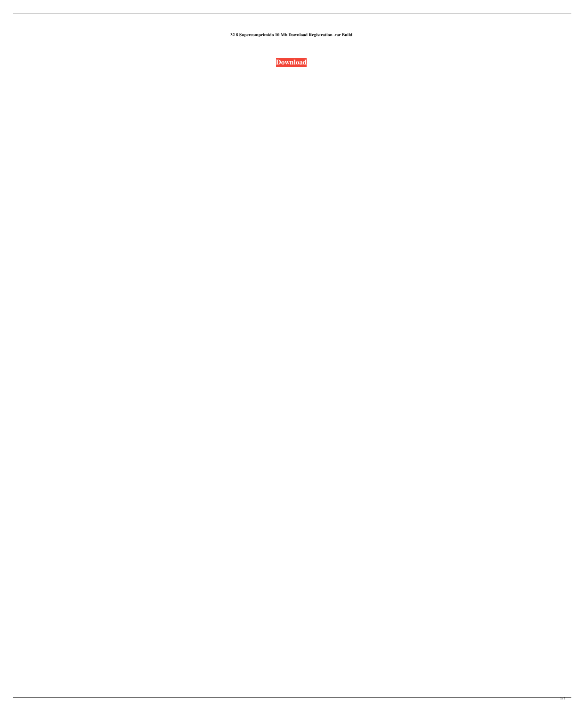**32 8 Supercomprimido 10 Mb Download Registration .rar Build**